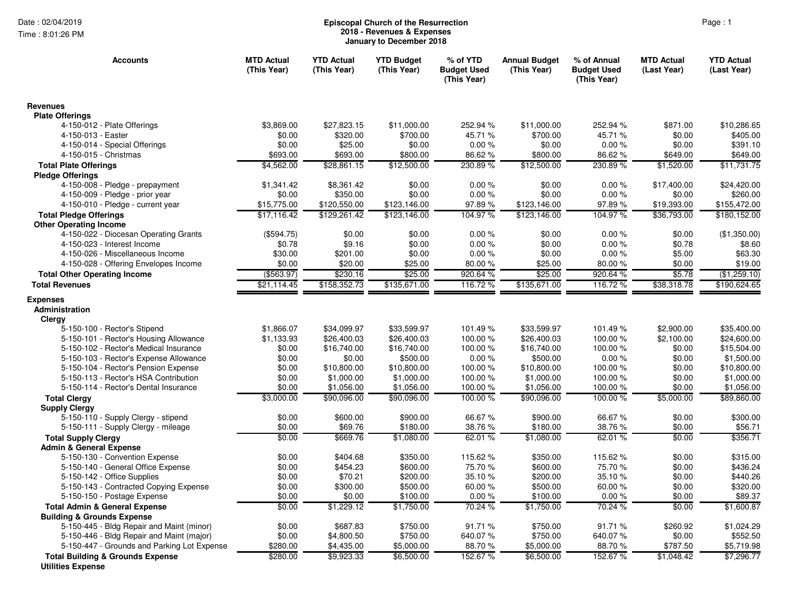Time : 8:01:26 PM

## Page : 1 **Episcopal Church of the Resurrection 2018 - Revenues & Expenses January to December 2018**

| <b>Accounts</b>                                                         | <b>MTD Actual</b><br>(This Year) | <b>YTD Actual</b><br>(This Year) | <b>YTD Budget</b><br>(This Year) | % of YTD<br><b>Budget Used</b><br>(This Year) | <b>Annual Budget</b><br>(This Year) | % of Annual<br><b>Budget Used</b><br>(This Year) | <b>MTD Actual</b><br>(Last Year) | <b>YTD Actual</b><br>(Last Year) |
|-------------------------------------------------------------------------|----------------------------------|----------------------------------|----------------------------------|-----------------------------------------------|-------------------------------------|--------------------------------------------------|----------------------------------|----------------------------------|
| <b>Revenues</b>                                                         |                                  |                                  |                                  |                                               |                                     |                                                  |                                  |                                  |
| <b>Plate Offerings</b>                                                  |                                  |                                  |                                  |                                               |                                     |                                                  |                                  |                                  |
| 4-150-012 - Plate Offerings                                             | \$3.869.00                       | \$27.823.15                      | \$11,000.00                      | 252.94 %                                      | \$11,000.00                         | 252.94 %                                         | \$871.00                         | \$10,286.65                      |
| 4-150-013 - Easter                                                      | \$0.00                           | \$320.00                         | \$700.00                         | 45.71 %                                       | \$700.00                            | 45.71 %                                          | \$0.00                           | \$405.00                         |
| 4-150-014 - Special Offerings                                           | \$0.00                           | \$25.00                          | \$0.00                           | 0.00%                                         | \$0.00                              | 0.00%                                            | \$0.00                           | \$391.10                         |
| 4-150-015 - Christmas                                                   | \$693.00                         | \$693.00                         | \$800.00                         | 86.62%                                        | \$800.00                            | 86.62 %                                          | \$649.00                         | \$649.00                         |
| <b>Total Plate Offerings</b>                                            | \$4.562.00                       | \$28,861.15                      | \$12,500.00                      | 230.89%                                       | \$12,500.00                         | 230.89%                                          | \$1,520.00                       | \$11.731.75                      |
| <b>Pledge Offerings</b>                                                 |                                  |                                  |                                  |                                               |                                     |                                                  |                                  |                                  |
| 4-150-008 - Pledge - prepayment                                         | \$1,341.42                       | \$8,361.42                       | \$0.00<br>\$0.00                 | 0.00%<br>0.00%                                | \$0.00<br>\$0.00                    | 0.00%<br>0.00%                                   | \$17,400.00                      | \$24,420.00<br>\$260.00          |
| 4-150-009 - Pledge - prior year<br>4-150-010 - Pledge - current year    | \$0.00<br>\$15,775.00            | \$350.00<br>\$120,550.00         | \$123,146.00                     | 97.89%                                        | \$123,146.00                        | 97.89%                                           | \$0.00<br>\$19,393.00            | \$155,472.00                     |
|                                                                         | \$17,116.42                      | \$129,261.42                     |                                  | 104.97%                                       | \$123,146.00                        | 104.97%                                          | \$36,793.00                      | \$180,152.00                     |
| <b>Total Pledge Offerings</b><br><b>Other Operating Income</b>          |                                  |                                  | \$123,146.00                     |                                               |                                     |                                                  |                                  |                                  |
| 4-150-022 - Diocesan Operating Grants                                   | (\$594.75)                       | \$0.00                           | \$0.00                           | 0.00%                                         | \$0.00                              | 0.00%                                            | \$0.00                           | (\$1,350.00)                     |
| 4-150-023 - Interest Income                                             | \$0.78                           | \$9.16                           | \$0.00                           | 0.00%                                         | \$0.00                              | 0.00%                                            | \$0.78                           | \$8.60                           |
| 4-150-026 - Miscellaneous Income                                        | \$30.00                          | \$201.00                         | \$0.00                           | 0.00%                                         | \$0.00                              | 0.00%                                            | \$5.00                           | \$63.30                          |
| 4-150-028 - Offering Envelopes Income                                   | \$0.00                           | \$20.00                          | \$25.00                          | 80.00 %                                       | \$25.00                             | 80.00 %                                          | \$0.00                           | \$19.00                          |
| <b>Total Other Operating Income</b>                                     | ( \$563.97)                      | \$230.16                         | \$25.00                          | 920.64%                                       | \$25.00                             | 920.64 %                                         | \$5.78                           | (\$1,259.10)                     |
| <b>Total Revenues</b>                                                   | \$21,114.45                      | \$158,352.73                     | \$135,671.00                     | 116.72 %                                      | \$135,671.00                        | 116.72 %                                         | \$38,318.78                      | \$190.624.65                     |
|                                                                         |                                  |                                  |                                  |                                               |                                     |                                                  |                                  |                                  |
| <b>Expenses</b><br>Administration<br>Clergy                             |                                  |                                  |                                  |                                               |                                     |                                                  |                                  |                                  |
| 5-150-100 - Rector's Stipend                                            | \$1,866.07                       | \$34,099.97                      | \$33,599.97                      | 101.49 %                                      | \$33,599.97                         | 101.49 %                                         | \$2,900.00                       | \$35,400.00                      |
| 5-150-101 - Rector's Housing Allowance                                  | \$1,133.93                       | \$26,400.03                      | \$26,400.03                      | 100.00%                                       | \$26,400.03                         | 100.00 %                                         | \$2,100.00                       | \$24,600.00                      |
| 5-150-102 - Rector's Medical Insurance                                  | \$0.00                           | \$16,740.00                      | \$16,740.00                      | 100.00%                                       | \$16,740.00                         | 100.00%                                          | \$0.00                           | \$15,504.00                      |
| 5-150-103 - Rector's Expense Allowance                                  | \$0.00                           | \$0.00                           | \$500.00                         | 0.00%                                         | \$500.00                            | 0.00%                                            | \$0.00                           | \$1,500.00                       |
| 5-150-104 - Rector's Pension Expense                                    | \$0.00                           | \$10,800.00                      | \$10,800.00                      | 100.00%                                       | \$10,800.00                         | 100.00 %                                         | \$0.00                           | \$10,800.00                      |
| 5-150-113 - Rector's HSA Contribution                                   | \$0.00                           | \$1,000.00                       | \$1,000.00                       | 100.00 %                                      | \$1,000.00                          | 100.00 %                                         | \$0.00                           | \$1,000.00                       |
| 5-150-114 - Rector's Dental Insurance                                   | \$0.00                           | \$1,056.00                       | \$1,056.00                       | 100.00%                                       | \$1,056.00                          | 100.00%                                          | \$0.00                           | \$1,056.00                       |
| <b>Total Clergy</b>                                                     | \$3,000.00                       | \$90,096.00                      | \$90,096.00                      | $100.00\%$                                    | \$90,096.00                         | 100.00 %                                         | \$5,000.00                       | \$89,860.00                      |
| <b>Supply Clergy</b>                                                    |                                  |                                  |                                  |                                               |                                     |                                                  |                                  |                                  |
| 5-150-110 - Supply Clergy - stipend                                     | \$0.00                           | \$600.00                         | \$900.00                         | 66.67%                                        | \$900.00                            | 66.67%                                           | \$0.00                           | \$300.00                         |
| 5-150-111 - Supply Clergy - mileage                                     | \$0.00                           | \$69.76                          | \$180.00                         | 38.76%                                        | \$180.00                            | 38.76 %                                          | \$0.00                           | \$56.71                          |
| <b>Total Supply Clergy</b>                                              | \$0.00                           | \$669.76                         | \$1,080.00                       | 62.01 %                                       | \$1,080.00                          | 62.01 %                                          | \$0.00                           | \$356.71                         |
| <b>Admin &amp; General Expense</b>                                      |                                  |                                  |                                  |                                               |                                     |                                                  |                                  |                                  |
| 5-150-130 - Convention Expense                                          | \$0.00                           | \$404.68                         | \$350.00                         | 115.62%                                       | \$350.00                            | 115.62 %                                         | \$0.00                           | \$315.00                         |
| 5-150-140 - General Office Expense                                      | \$0.00                           | \$454.23                         | \$600.00                         | 75.70 %                                       | \$600.00                            | 75.70 %                                          | \$0.00                           | \$436.24                         |
| 5-150-142 - Office Supplies                                             | \$0.00                           | \$70.21                          | \$200.00                         | 35.10%                                        | \$200.00                            | 35.10%                                           | \$0.00                           | \$440.26                         |
| 5-150-143 - Contracted Copying Expense                                  | \$0.00                           | \$300.00                         | \$500.00                         | 60.00 %                                       | \$500.00                            | 60.00 %                                          | \$0.00                           | \$320.00                         |
| 5-150-150 - Postage Expense                                             | \$0.00                           | \$0.00                           | \$100.00                         | 0.00%                                         | \$100.00                            | 0.00%                                            | \$0.00                           | \$89.37                          |
| <b>Total Admin &amp; General Expense</b>                                | \$0.00                           | \$1,229.12                       | \$1,750.00                       | 70.24 %                                       | \$1,750.00                          | 70.24 %                                          | \$0.00                           | \$1,600.87                       |
| <b>Building &amp; Grounds Expense</b>                                   |                                  |                                  |                                  |                                               |                                     |                                                  |                                  |                                  |
| 5-150-445 - Bldg Repair and Maint (minor)                               | \$0.00                           | \$687.83                         | \$750.00                         | 91.71 %                                       | \$750.00                            | 91.71 %                                          | \$260.92                         | \$1,024.29                       |
| 5-150-446 - Bldg Repair and Maint (major)                               | \$0.00                           | \$4,800.50                       | \$750.00                         | 640.07%                                       | \$750.00                            | 640.07%                                          | \$0.00                           | \$552.50                         |
| 5-150-447 - Grounds and Parking Lot Expense                             | \$280.00                         | \$4,435.00                       | \$5,000.00                       | 88.70 %                                       | \$5,000.00                          | 88.70 %                                          | \$787.50                         | \$5,719.98                       |
| <b>Total Building &amp; Grounds Expense</b><br><b>Utilities Expense</b> | \$280.00                         | \$9,923.33                       | \$6,500.00                       | 152.67%                                       | \$6,500.00                          | 152.67%                                          | \$1,048.42                       | \$7,296.77                       |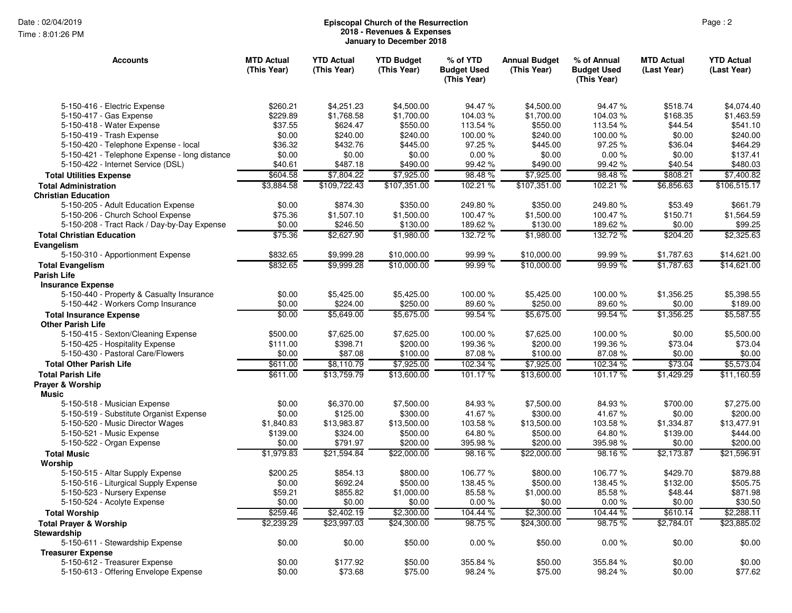Time : 8:01:26 PM

## Page : 2 **Episcopal Church of the Resurrection 2018 - Revenues & Expenses January to December 2018**

| <b>Accounts</b>                                                        | <b>MTD Actual</b><br>(This Year) | <b>YTD Actual</b><br>(This Year) | <b>YTD Budget</b><br>(This Year) | % of YTD<br><b>Budget Used</b><br>(This Year) | <b>Annual Budget</b><br>(This Year) | % of Annual<br><b>Budget Used</b><br>(This Year) | <b>MTD Actual</b><br>(Last Year) | <b>YTD Actual</b><br>(Last Year) |
|------------------------------------------------------------------------|----------------------------------|----------------------------------|----------------------------------|-----------------------------------------------|-------------------------------------|--------------------------------------------------|----------------------------------|----------------------------------|
| 5-150-416 - Electric Expense                                           | \$260.21                         | \$4,251.23                       | \$4,500.00                       | 94.47 %                                       | \$4,500.00                          | 94.47 %                                          | \$518.74                         | \$4,074.40                       |
| 5-150-417 - Gas Expense                                                | \$229.89                         | \$1,768.58                       | \$1,700.00                       | 104.03%                                       | \$1,700.00                          | 104.03%                                          | \$168.35                         | \$1,463.59                       |
| 5-150-418 - Water Expense                                              | \$37.55                          | \$624.47                         | \$550.00                         | 113.54 %                                      | \$550.00                            | 113.54 %                                         | \$44.54                          | \$541.10                         |
| 5-150-419 - Trash Expense                                              | \$0.00                           | \$240.00                         | \$240.00                         | 100.00 %                                      | \$240.00                            | 100.00 %                                         | \$0.00                           | \$240.00                         |
| 5-150-420 - Telephone Expense - local                                  | \$36.32                          | \$432.76                         | \$445.00                         | 97.25 %                                       | \$445.00                            | 97.25 %                                          | \$36.04                          | \$464.29                         |
| 5-150-421 - Telephone Expense - long distance                          | \$0.00                           | \$0.00                           | \$0.00                           | 0.00%                                         | \$0.00                              | 0.00%                                            | \$0.00                           | \$137.41                         |
| 5-150-422 - Internet Service (DSL)                                     | \$40.61                          | \$487.18                         | \$490.00                         | 99.42 %                                       | \$490.00                            | 99.42%                                           | \$40.54                          | \$480.03                         |
| <b>Total Utilities Expense</b>                                         | \$604.58                         | \$7,804.22                       | \$7,925.00                       | 98.48%                                        | \$7,925.00                          | 98.48%                                           | \$808.21                         | \$7,400.82                       |
| <b>Total Administration</b>                                            | \$3,884.58                       | \$109.722.43                     | \$107,351.00                     | 102.21 %                                      | \$107,351.00                        | 102.21%                                          | \$6,856.63                       | \$106,515.17                     |
| <b>Christian Education</b>                                             |                                  |                                  |                                  |                                               |                                     |                                                  |                                  |                                  |
| 5-150-205 - Adult Education Expense                                    | \$0.00                           | \$874.30                         | \$350.00                         | 249.80%                                       | \$350.00                            | 249.80 %                                         | \$53.49                          | \$661.79                         |
| 5-150-206 - Church School Expense                                      | \$75.36                          | \$1,507.10                       | \$1,500.00                       | 100.47%                                       | \$1,500.00                          | 100.47%                                          | \$150.71                         | \$1,564.59                       |
| 5-150-208 - Tract Rack / Day-by-Day Expense                            | \$0.00                           | \$246.50                         | \$130.00                         | 189.62%                                       | \$130.00                            | 189.62%                                          | \$0.00                           | \$99.25                          |
| <b>Total Christian Education</b><br>Evangelism                         | \$75.36                          | \$2,627.90                       | \$1,980.00                       | 132.72%                                       | \$1,980.00                          | 132.72 %                                         | \$204.20                         | \$2,325.63                       |
| 5-150-310 - Apportionment Expense                                      | \$832.65                         | \$9,999.28                       | \$10,000.00                      | 99.99 %                                       | \$10,000.00                         | 99.99 %                                          | \$1,787.63                       | \$14,621.00                      |
| <b>Total Evangelism</b>                                                | \$832.65                         | \$9,999.28                       | \$10,000.00                      | 99.99%                                        | \$10,000.00                         | 99.99%                                           | \$1,787.63                       | \$14,621.00                      |
| <b>Parish Life</b>                                                     |                                  |                                  |                                  |                                               |                                     |                                                  |                                  |                                  |
| <b>Insurance Expense</b>                                               |                                  |                                  |                                  |                                               |                                     |                                                  |                                  |                                  |
| 5-150-440 - Property & Casualty Insurance                              | \$0.00                           | \$5,425.00                       | \$5,425.00                       | 100.00 %                                      | \$5,425.00                          | 100.00 %                                         | \$1,356.25                       | \$5,398.55                       |
| 5-150-442 - Workers Comp Insurance                                     | \$0.00                           | \$224.00                         | \$250.00                         | 89.60 %                                       | \$250.00                            | 89.60%                                           | \$0.00                           | \$189.00                         |
| <b>Total Insurance Expense</b>                                         | \$0.00                           | \$5,649.00                       | \$5,675.00                       | 99.54 %                                       | \$5,675.00                          | 99.54 %                                          | \$1,356.25                       | \$5,587.55                       |
| <b>Other Parish Life</b><br>5-150-415 - Sexton/Cleaning Expense        | \$500.00                         | \$7,625.00                       | \$7,625.00                       | 100.00 %                                      | \$7,625.00                          | 100.00 %                                         | \$0.00                           | \$5,500.00                       |
| 5-150-425 - Hospitality Expense                                        | \$111.00                         | \$398.71                         | \$200.00                         | 199.36%                                       | \$200.00                            | 199.36%                                          | \$73.04                          | \$73.04                          |
| 5-150-430 - Pastoral Care/Flowers                                      | \$0.00                           | \$87.08                          | \$100.00                         | 87.08%                                        | \$100.00                            | 87.08%                                           | \$0.00                           | \$0.00                           |
| <b>Total Other Parish Life</b>                                         | \$611.00                         | \$8,110.79                       | \$7,925.00                       | 102.34 %                                      | \$7,925.00                          | 102.34 %                                         | \$73.04                          | \$5,573.04                       |
| <b>Total Parish Life</b>                                               | \$611.00                         | \$13.759.79                      | \$13,600.00                      | 101.17%                                       | \$13,600.00                         | 101.17%                                          | \$1,429.29                       | \$11.160.59                      |
| Prayer & Worship<br><b>Music</b>                                       |                                  |                                  |                                  |                                               |                                     |                                                  |                                  |                                  |
| 5-150-518 - Musician Expense                                           | \$0.00                           | \$6,370.00                       | \$7,500.00                       | 84.93%                                        | \$7,500.00                          | 84.93%                                           | \$700.00                         | \$7,275.00                       |
| 5-150-519 - Substitute Organist Expense                                | \$0.00                           | \$125.00                         | \$300.00                         | 41.67%                                        | \$300.00                            | 41.67%                                           | \$0.00                           | \$200.00                         |
| 5-150-520 - Music Director Wages                                       | \$1,840.83                       | \$13,983.87                      | \$13,500.00                      | 103.58%                                       | \$13,500.00                         | 103.58%                                          | \$1,334.87                       | \$13,477.91                      |
| 5-150-521 - Music Expense                                              | \$139.00                         | \$324.00                         | \$500.00                         | 64.80%                                        | \$500.00                            | 64.80 %                                          | \$139.00                         | \$444.00                         |
| 5-150-522 - Organ Expense                                              | \$0.00                           | \$791.97                         | \$200.00                         | 395.98 %                                      | \$200.00                            | 395.98 %                                         | \$0.00                           | \$200.00                         |
| <b>Total Music</b><br>Worship                                          | \$1,979.83                       | \$21,594.84                      | \$22,000.00                      | 98.16%                                        | \$22,000.00                         | 98.16%                                           | \$2,173.87                       | \$21,596.91                      |
| 5-150-515 - Altar Supply Expense                                       | \$200.25                         | \$854.13                         | \$800.00                         | 106.77 %                                      | \$800.00                            | 106.77%                                          | \$429.70                         | \$879.88                         |
| 5-150-516 - Liturgical Supply Expense                                  | \$0.00                           | \$692.24                         | \$500.00                         | 138.45 %                                      | \$500.00                            | 138.45 %                                         | \$132.00                         | \$505.75                         |
| 5-150-523 - Nursery Expense                                            | \$59.21                          | \$855.82                         | \$1,000.00                       | 85.58%                                        | \$1,000.00                          | 85.58 %                                          | \$48.44                          | \$871.98                         |
| 5-150-524 - Acolyte Expense                                            | \$0.00                           | \$0.00                           | \$0.00                           | 0.00%                                         | \$0.00                              | 0.00%                                            | \$0.00                           | \$30.50                          |
| <b>Total Worship</b>                                                   | \$259.46                         | \$2,402.19                       | \$2,300.00                       | 104.44 %                                      | \$2,300.00                          | 104.44 %                                         | \$610.14                         | \$2,288.11                       |
| <b>Total Prayer &amp; Worship</b><br><b>Stewardship</b>                | \$2,239.29                       | \$23,997.03                      | \$24,300.00                      | 98.75%                                        | \$24,300.00                         | 98.75 %                                          | \$2,784.01                       | \$23,885.02                      |
| 5-150-611 - Stewardship Expense                                        | \$0.00                           | \$0.00                           | \$50.00                          | 0.00%                                         | \$50.00                             | 0.00%                                            | \$0.00                           | \$0.00                           |
| <b>Treasurer Expense</b>                                               | \$0.00                           | \$177.92                         | \$50.00                          | 355.84 %                                      | \$50.00                             | 355.84 %                                         | \$0.00                           | \$0.00                           |
| 5-150-612 - Treasurer Expense<br>5-150-613 - Offering Envelope Expense | \$0.00                           | \$73.68                          | \$75.00                          | 98.24 %                                       | \$75.00                             | 98.24 %                                          | \$0.00                           | \$77.62                          |